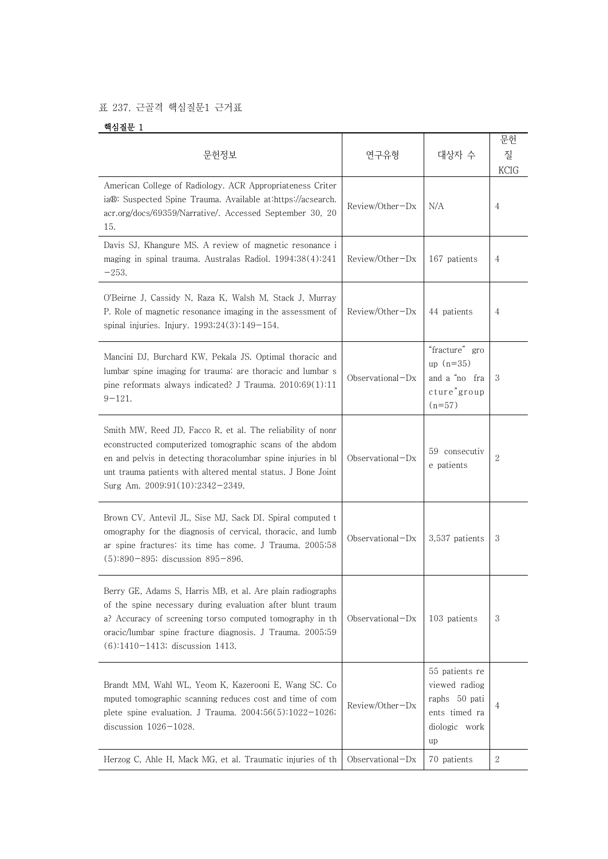## 표 237. 근골격 핵심질문1 근거표

## 핵심질문 1

| 문헌정보                                                                                                                                                                                                                                                                                       | 연구유형                | 대상자 수                                                                                    | 문헌<br>질<br><b>KCIG</b> |
|--------------------------------------------------------------------------------------------------------------------------------------------------------------------------------------------------------------------------------------------------------------------------------------------|---------------------|------------------------------------------------------------------------------------------|------------------------|
| American College of Radiology. ACR Appropriateness Criter<br>ia®: Suspected Spine Trauma. Available at:https://acsearch.<br>acr.org/docs/69359/Narrative/. Accessed September 30, 20<br>15.                                                                                                | Review/Other-Dx     | N/A                                                                                      | 4                      |
| Davis SJ, Khangure MS. A review of magnetic resonance i<br>maging in spinal trauma. Australas Radiol. 1994;38(4):241<br>$-253.$                                                                                                                                                            | Review/Other-Dx     | 167 patients                                                                             | 4                      |
| O'Beirne J, Cassidy N, Raza K, Walsh M, Stack J, Murray<br>P. Role of magnetic resonance imaging in the assessment of<br>spinal injuries. Injury. $1993;24(3):149-154$ .                                                                                                                   | Review/Other-Dx     | 44 patients                                                                              | 4                      |
| Mancini DJ, Burchard KW, Pekala JS. Optimal thoracic and<br>lumbar spine imaging for trauma: are thoracic and lumbar s<br>pine reformats always indicated? J Trauma. 2010;69(1):11<br>$9 - 121.$                                                                                           | Observational-Dx    | "fracture" gro<br>$up (n=35)$<br>and a "no fra<br>cture"group<br>$(n=57)$                | 3                      |
| Smith MW, Reed JD, Facco R, et al. The reliability of nonr<br>econstructed computerized tomographic scans of the abdom<br>en and pelvis in detecting thoracolumbar spine injuries in bl<br>unt trauma patients with altered mental status. J Bone Joint<br>Surg Am. 2009;91(10):2342-2349. | $Observational-Dx$  | 59 consecutiv<br>e patients                                                              | 2                      |
| Brown CV, Antevil JL, Sise MJ, Sack DI. Spiral computed t<br>omography for the diagnosis of cervical, thoracic, and lumb<br>ar spine fractures: its time has come. J Trauma. 2005;58<br>(5):890-895; discussion 895-896.                                                                   | Observational $-Dx$ | 3,537 patients                                                                           | 3                      |
| Berry GE, Adams S, Harris MB, et al. Are plain radiographs<br>of the spine necessary during evaluation after blunt traum<br>a? Accuracy of screening torso computed tomography in the<br>oracic/lumbar spine fracture diagnosis. J Trauma. 2005;59<br>(6):1410-1413; discussion 1413.      | $Observational-Dx$  | 103 patients                                                                             | 3                      |
| Brandt MM, Wahl WL, Yeom K, Kazerooni E, Wang SC. Co<br>mputed tomographic scanning reduces cost and time of com<br>plete spine evaluation. J Trauma. 2004;56(5):1022-1026;<br>discussion $1026 - 1028$ .                                                                                  | Review/Other-Dx     | 55 patients re<br>viewed radiog<br>raphs 50 pati<br>ents timed ra<br>diologic work<br>up | 4                      |
| Herzog C, Ahle H, Mack MG, et al. Traumatic injuries of th                                                                                                                                                                                                                                 | $Observational-Dx$  | 70 patients                                                                              | $\,2$                  |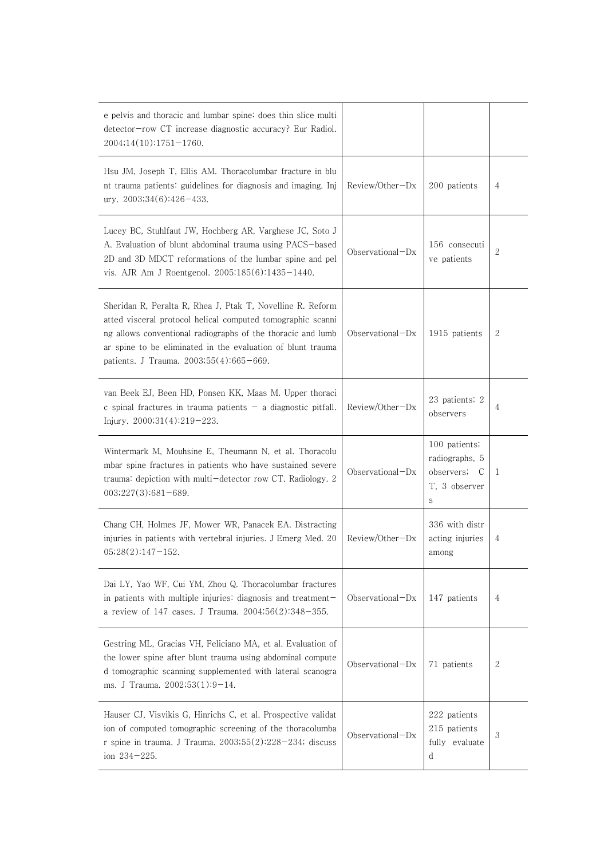| e pelvis and thoracic and lumbar spine: does thin slice multi<br>detector-row CT increase diagnostic accuracy? Eur Radiol.<br>2004;14(10):1751-1760.                                                                                                                                               |                     |                                                                          |              |
|----------------------------------------------------------------------------------------------------------------------------------------------------------------------------------------------------------------------------------------------------------------------------------------------------|---------------------|--------------------------------------------------------------------------|--------------|
| Hsu JM, Joseph T, Ellis AM. Thoracolumbar fracture in blu<br>nt trauma patients: guidelines for diagnosis and imaging. Inj<br>ury. $2003;34(6):426-433$ .                                                                                                                                          | $Review/Other-Dx$   | 200 patients                                                             | 4            |
| Lucey BC, Stuhlfaut JW, Hochberg AR, Varghese JC, Soto J<br>A. Evaluation of blunt abdominal trauma using PACS-based<br>2D and 3D MDCT reformations of the lumbar spine and pel<br>vis. AJR Am J Roentgenol. $2005;185(6):1435-1440$ .                                                             | $Observational-Dx$  | 156 consecuti<br>ve patients                                             | 2            |
| Sheridan R, Peralta R, Rhea J, Ptak T, Novelline R. Reform<br>atted visceral protocol helical computed tomographic scanni<br>ng allows conventional radiographs of the thoracic and lumb<br>ar spine to be eliminated in the evaluation of blunt trauma<br>patients. J Trauma. 2003;55(4):665-669. | $Observational-Dx$  | 1915 patients                                                            | 2            |
| van Beek EJ, Been HD, Ponsen KK, Maas M. Upper thoraci<br>c spinal fractures in trauma patients $-$ a diagnostic pitfall.<br>Injury. $2000;31(4):219-223$ .                                                                                                                                        | Review/Other-Dx     | 23 patients; 2<br>observers                                              | 4            |
| Wintermark M, Mouhsine E, Theumann N, et al. Thoracolu<br>mbar spine fractures in patients who have sustained severe<br>trauma: depiction with multi-detector row CT. Radiology. 2<br>$003;227(3):681-689.$                                                                                        | $Observational-Dx$  | 100 patients;<br>radiographs, 5<br>observers;<br>C<br>T, 3 observer<br>S | 1            |
| Chang CH, Holmes JF, Mower WR, Panacek EA. Distracting<br>injuries in patients with vertebral injuries. J Emerg Med. 20<br>$05;28(2):147-152.$                                                                                                                                                     | $Review/Other-Dx$   | 336 with distr<br>acting injuries<br>among                               | 4            |
| Dai LY, Yao WF, Cui YM, Zhou Q. Thoracolumbar fractures<br>in patients with multiple injuries: diagnosis and treatment-<br>a review of 147 cases. J Trauma. 2004;56(2):348-355.                                                                                                                    | Observational $-Dx$ | 147 patients                                                             | 4            |
| Gestring ML, Gracias VH, Feliciano MA, et al. Evaluation of<br>the lower spine after blunt trauma using abdominal compute<br>d tomographic scanning supplemented with lateral scanogra<br>ms. J Trauma. 2002;53(1):9-14.                                                                           | Observational $-Dx$ | 71 patients                                                              | $\mathbf{2}$ |
| Hauser CJ, Visvikis G, Hinrichs C, et al. Prospective validat<br>ion of computed tomographic screening of the thoracolumba<br>r spine in trauma. J Trauma. $2003;55(2):228-234$ ; discuss<br>ion 234-225.                                                                                          | Observational $-Dx$ | 222 patients<br>215 patients<br>fully evaluate<br>d                      | 3            |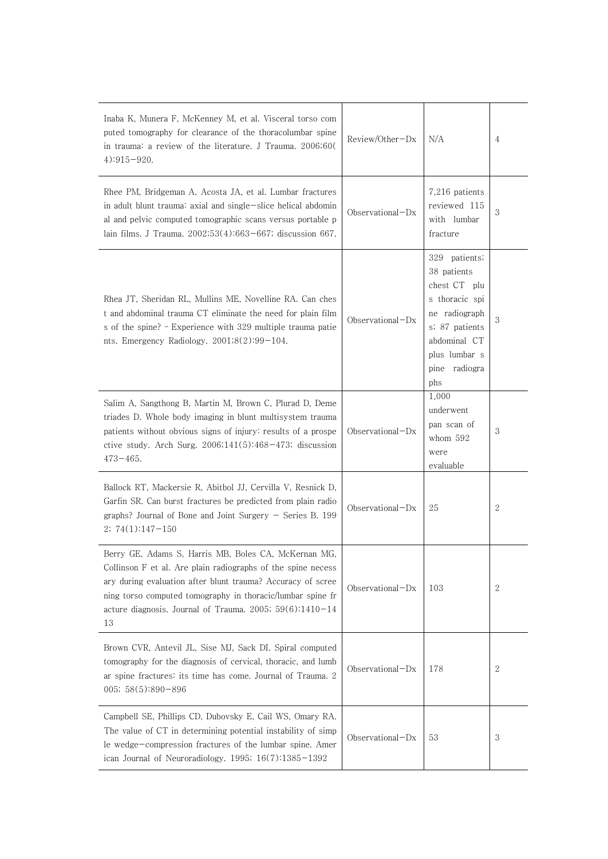| Inaba K, Munera F, McKenney M, et al. Visceral torso com<br>puted tomography for clearance of the thoracolumbar spine<br>in trauma: a review of the literature. J Trauma. 2006;60(<br>$4)$ :915-920.                                                                                                                  | Review/Other-Dx     | N/A                                                                                                                                                        | 4            |
|-----------------------------------------------------------------------------------------------------------------------------------------------------------------------------------------------------------------------------------------------------------------------------------------------------------------------|---------------------|------------------------------------------------------------------------------------------------------------------------------------------------------------|--------------|
| Rhee PM, Bridgeman A, Acosta JA, et al. Lumbar fractures<br>in adult blunt trauma: axial and single-slice helical abdomin<br>al and pelvic computed tomographic scans versus portable p<br>lain films. J Trauma. 2002;53(4):663-667; discussion 667.                                                                  | $Observational-Dx$  | 7,216 patients<br>reviewed 115<br>with lumbar<br>fracture                                                                                                  | 3            |
| Rhea JT, Sheridan RL, Mullins ME, Novelline RA. Can ches<br>t and abdominal trauma CT eliminate the need for plain film<br>s of the spine? - Experience with 329 multiple trauma patie<br>nts. Emergency Radiology. $2001;8(2):99-104$ .                                                                              | Observational $-Dx$ | 329 patients;<br>38 patients<br>chest CT plu<br>s thoracic spi<br>ne radiograph<br>s; 87 patients<br>abdominal CT<br>plus lumbar s<br>pine radiogra<br>phs | 3            |
| Salim A, Sangthong B, Martin M, Brown C, Plurad D, Deme<br>triades D. Whole body imaging in blunt multisystem trauma<br>patients without obvious signs of injury: results of a prospe<br>ctive study. Arch Surg. $2006;141(5):468-473$ ; discussion<br>$473 - 465.$                                                   | Observational-Dx    | 1,000<br>underwent<br>pan scan of<br>whom $592$<br>were<br>evaluable                                                                                       | 3            |
| Ballock RT, Mackersie R, Abitbol JJ, Cervilla V, Resnick D,<br>Garfin SR. Can burst fractures be predicted from plain radio<br>graphs? Journal of Bone and Joint Surgery $-$ Series B. 199<br>$2; 74(1):147-150$                                                                                                      | Observational $-Dx$ | 25                                                                                                                                                         | 2            |
| Berry GE, Adams S, Harris MB, Boles CA, McKernan MG,<br>Collinson F et al. Are plain radiographs of the spine necess<br>ary during evaluation after blunt trauma? Accuracy of scree<br>ning torso computed tomography in thoracic/lumbar spine fr<br>acture diagnosis. Journal of Trauma. 2005; $59(6):1410-14$<br>13 | Observational $-Dx$ | 103                                                                                                                                                        | 2            |
| Brown CVR, Antevil JL, Sise MJ, Sack DI. Spiral computed<br>tomography for the diagnosis of cervical, thoracic, and lumb<br>ar spine fractures: its time has come. Journal of Trauma. 2<br>$005; 58(5):890-896$                                                                                                       | Observational $-Dx$ | 178                                                                                                                                                        | $\mathbf{2}$ |
| Campbell SE, Phillips CD, Dubovsky E, Cail WS, Omary RA.<br>The value of CT in determining potential instability of simp<br>le wedge-compression fractures of the lumbar spine. Amer<br>ican Journal of Neuroradiology. 1995; $16(7)$ :1385-1392                                                                      | $Observational-Dx$  | 53                                                                                                                                                         | 3            |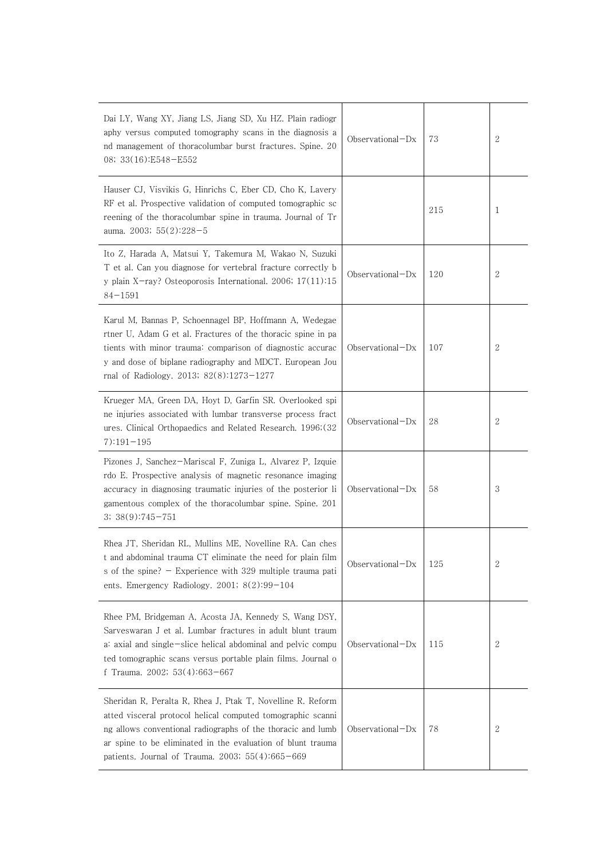| Dai LY, Wang XY, Jiang LS, Jiang SD, Xu HZ. Plain radiogr<br>aphy versus computed tomography scans in the diagnosis a<br>nd management of thoracolumbar burst fractures. Spine. 20<br>08; 33(16):E548-E552                                                                                                  | Observational-Dx   | 73  | 2            |
|-------------------------------------------------------------------------------------------------------------------------------------------------------------------------------------------------------------------------------------------------------------------------------------------------------------|--------------------|-----|--------------|
| Hauser CJ, Visvikis G, Hinrichs C, Eber CD, Cho K, Lavery<br>RF et al. Prospective validation of computed tomographic sc<br>reening of the thoracolumbar spine in trauma. Journal of Tr<br>auma. $2003$ ; $55(2)$ : $228 - 5$                                                                               |                    | 215 | 1            |
| Ito Z, Harada A, Matsui Y, Takemura M, Wakao N, Suzuki<br>T et al. Can you diagnose for vertebral fracture correctly b<br>y plain X-ray? Osteoporosis International. 2006; 17(11):15<br>84-1591                                                                                                             | Observational-Dx   | 120 | 2            |
| Karul M, Bannas P, Schoennagel BP, Hoffmann A, Wedegae<br>rtner U, Adam G et al. Fractures of the thoracic spine in pa<br>tients with minor trauma: comparison of diagnostic accurac<br>y and dose of biplane radiography and MDCT. European Jou<br>rnal of Radiology. 2013; 82(8):1273-1277                | Observational-Dx   | 107 | $\mathbf{2}$ |
| Krueger MA, Green DA, Hoyt D, Garfin SR. Overlooked spi<br>ne injuries associated with lumbar transverse process fract<br>ures. Clinical Orthopaedics and Related Research. 1996; (32)<br>7):191-195                                                                                                        | Observational-Dx   | 28  | 2            |
| Pizones J, Sanchez-Mariscal F, Zuniga L, Alvarez P, Izquie<br>rdo E. Prospective analysis of magnetic resonance imaging<br>accuracy in diagnosing traumatic injuries of the posterior li<br>gamentous complex of the thoracolumbar spine. Spine. 201<br>$3; 38(9):745-751$                                  | $Observational-Dx$ | 58  | 3            |
| Rhea JT, Sheridan RL, Mullins ME, Novelline RA. Can ches<br>t and abdominal trauma CT eliminate the need for plain film<br>s of the spine? $-$ Experience with 329 multiple trauma pati<br>ents. Emergency Radiology. 2001; $8(2):99-104$                                                                   | Observational-Dx   | 125 | 2            |
| Rhee PM, Bridgeman A, Acosta JA, Kennedy S, Wang DSY,<br>Sarveswaran J et al. Lumbar fractures in adult blunt traum<br>a: axial and single-slice helical abdominal and pelvic compu<br>ted tomographic scans versus portable plain films. Journal o<br>f Trauma. 2002; 53(4):663-667                        | $Observational-Dx$ | 115 | 2            |
| Sheridan R, Peralta R, Rhea J, Ptak T, Novelline R. Reform<br>atted visceral protocol helical computed tomographic scanni<br>ng allows conventional radiographs of the thoracic and lumb<br>ar spine to be eliminated in the evaluation of blunt trauma<br>patients. Journal of Trauma. 2003; 55(4):665-669 | $Observational-Dx$ | 78  | 2            |